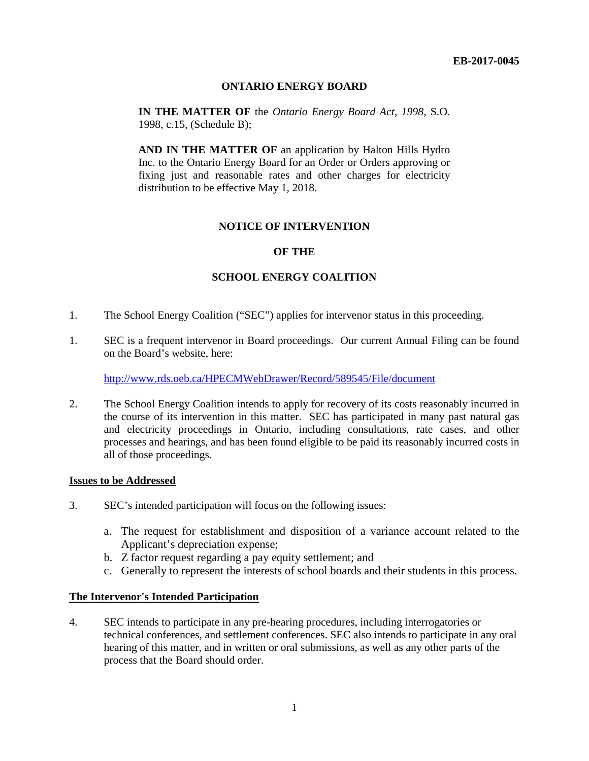### **ONTARIO ENERGY BOARD**

**IN THE MATTER OF** the *Ontario Energy Board Act*, *1998*, S.O. 1998, c.15, (Schedule B);

**AND IN THE MATTER OF** an application by Halton Hills Hydro Inc. to the Ontario Energy Board for an Order or Orders approving or fixing just and reasonable rates and other charges for electricity distribution to be effective May 1, 2018.

### **NOTICE OF INTERVENTION**

### **OF THE**

# **SCHOOL ENERGY COALITION**

- 1. The School Energy Coalition ("SEC") applies for intervenor status in this proceeding.
- 1. SEC is a frequent intervenor in Board proceedings. Our current Annual Filing can be found on the Board's website, here:

<http://www.rds.oeb.ca/HPECMWebDrawer/Record/589545/File/document>

2. The School Energy Coalition intends to apply for recovery of its costs reasonably incurred in the course of its intervention in this matter. SEC has participated in many past natural gas and electricity proceedings in Ontario, including consultations, rate cases, and other processes and hearings, and has been found eligible to be paid its reasonably incurred costs in all of those proceedings.

#### **Issues to be Addressed**

- 3. SEC's intended participation will focus on the following issues:
	- a. The request for establishment and disposition of a variance account related to the Applicant's depreciation expense;
	- b. Z factor request regarding a pay equity settlement; and
	- c. Generally to represent the interests of school boards and their students in this process.

### **The Intervenor's Intended Participation**

4. SEC intends to participate in any pre-hearing procedures, including interrogatories or technical conferences, and settlement conferences. SEC also intends to participate in any oral hearing of this matter, and in written or oral submissions, as well as any other parts of the process that the Board should order.